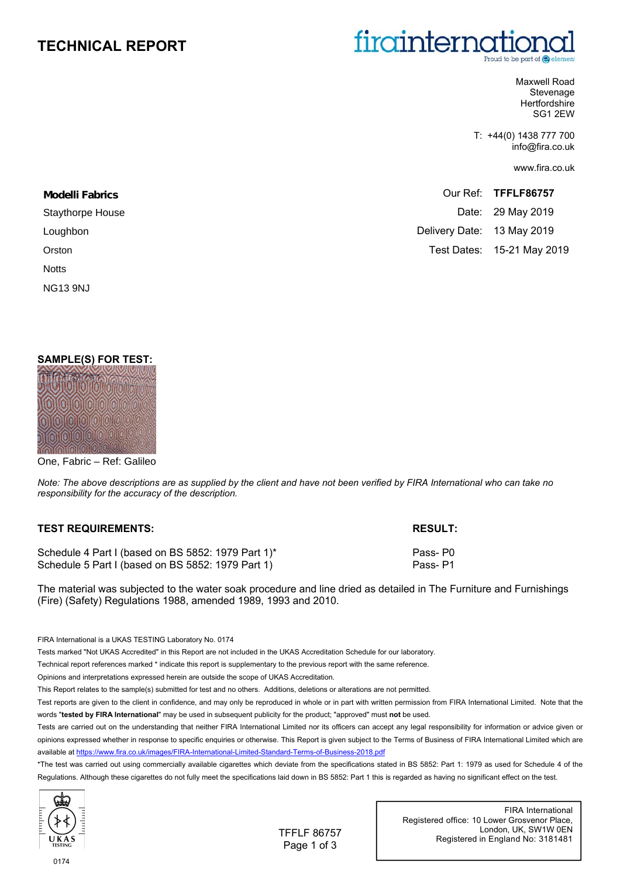## **TECHNICAL REPORT**

# firainterna

Maxwell Road Stevenage **Hertfordshire** SG1 2EW

T: +44(0) 1438 777 700 info@fira.co.uk

www.fira.co.uk

| <b>Modelli Fabrics</b> |                            | Our Ref: TFFLF86757        |
|------------------------|----------------------------|----------------------------|
| Staythorpe House       |                            | Date: 29 May 2019          |
| Loughbon               | Delivery Date: 13 May 2019 |                            |
| Orston                 |                            | Test Dates: 15-21 May 2019 |
| <b>Notts</b>           |                            |                            |

NG13 9NJ



One, Fabric – Ref: Galileo

*Note: The above descriptions are as supplied by the client and have not been verified by FIRA International who can take no responsibility for the accuracy of the description.* 

| <b>TEST REQUIREMENTS:</b>                          | <b>RESULT:</b> |  |
|----------------------------------------------------|----------------|--|
| Schedule 4 Part I (based on BS 5852: 1979 Part 1)* | Pass-P0        |  |
| Schedule 5 Part I (based on BS 5852: 1979 Part 1)  | Pass-P1        |  |

The material was subjected to the water soak procedure and line dried as detailed in The Furniture and Furnishings (Fire) (Safety) Regulations 1988, amended 1989, 1993 and 2010.

FIRA International is a UKAS TESTING Laboratory No. 0174

Tests marked "Not UKAS Accredited" in this Report are not included in the UKAS Accreditation Schedule for our laboratory.

Technical report references marked \* indicate this report is supplementary to the previous report with the same reference.

Opinions and interpretations expressed herein are outside the scope of UKAS Accreditation.

This Report relates to the sample(s) submitted for test and no others. Additions, deletions or alterations are not permitted.

Test reports are given to the client in confidence, and may only be reproduced in whole or in part with written permission from FIRA International Limited. Note that the words "**tested by FIRA International**" may be used in subsequent publicity for the product; "approved" must **not** be used.

Tests are carried out on the understanding that neither FIRA International Limited nor its officers can accept any legal responsibility for information or advice given or opinions expressed whether in response to specific enquiries or otherwise. This Report is given subject to the Terms of Business of FIRA International Limited which are available at https://www.fira.co.uk/images/FIRA-International-Limited-Standard-Terms-of-Business-2018.pdf

\*The test was carried out using commercially available cigarettes which deviate from the specifications stated in BS 5852: Part 1: 1979 as used for Schedule 4 of the Regulations. Although these cigarettes do not fully meet the specifications laid down in BS 5852: Part 1 this is regarded as having no significant effect on the test.

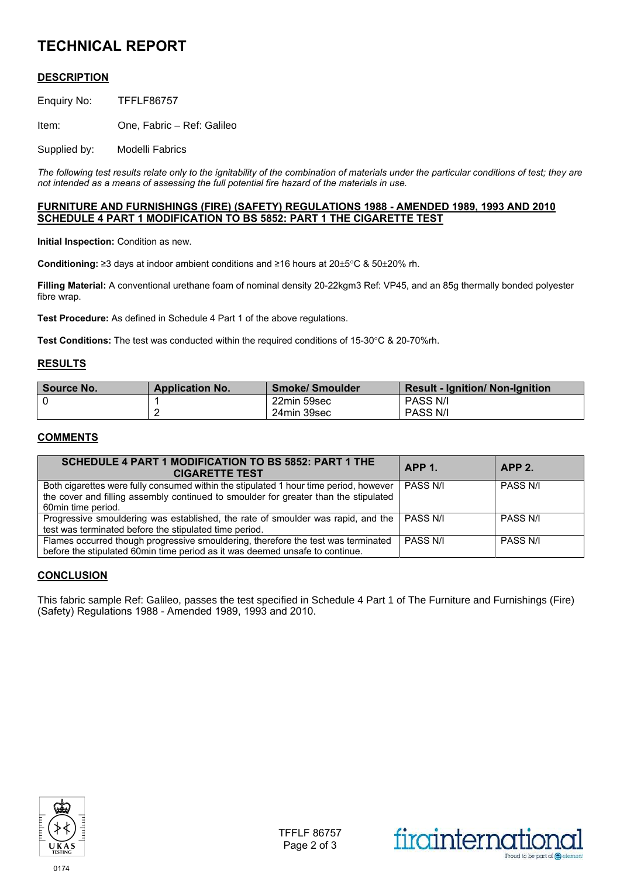# **TECHNICAL REPORT**

## **DESCRIPTION**

Enquiry No: TFFLF86757

Item: One, Fabric – Ref: Galileo

Supplied by: Modelli Fabrics

*The following test results relate only to the ignitability of the combination of materials under the particular conditions of test; they are not intended as a means of assessing the full potential fire hazard of the materials in use.* 

#### **FURNITURE AND FURNISHINGS (FIRE) (SAFETY) REGULATIONS 1988 - AMENDED 1989, 1993 AND 2010 SCHEDULE 4 PART 1 MODIFICATION TO BS 5852: PART 1 THE CIGARETTE TEST**

**Initial Inspection:** Condition as new.

**Conditioning:** ≥3 days at indoor ambient conditions and ≥16 hours at 20±5°C & 50±20% rh.

**Filling Material:** A conventional urethane foam of nominal density 20-22kgm3 Ref: VP45, and an 85g thermally bonded polyester fibre wrap.

**Test Procedure:** As defined in Schedule 4 Part 1 of the above regulations.

**Test Conditions:** The test was conducted within the required conditions of 15-30°C & 20-70%rh.

#### **RESULTS**

| Source No. | <b>Application No.</b> | <b>Smoke/Smoulder</b> | <b>Result - Ignition/ Non-Ignition</b> |
|------------|------------------------|-----------------------|----------------------------------------|
|            |                        | 22min 59sec           | <b>PASS N/I</b>                        |
|            |                        | 24min 39sec           | PASS N/I                               |

#### **COMMENTS**

| SCHEDULE 4 PART 1 MODIFICATION TO BS 5852: PART 1 THE<br><b>CIGARETTE TEST</b>                                                                                                                      | <b>APP 1.</b> | APP <sub>2</sub> |
|-----------------------------------------------------------------------------------------------------------------------------------------------------------------------------------------------------|---------------|------------------|
| Both cigarettes were fully consumed within the stipulated 1 hour time period, however<br>the cover and filling assembly continued to smoulder for greater than the stipulated<br>60min time period. | PASS N/I      | PASS N/I         |
| Progressive smouldering was established, the rate of smoulder was rapid, and the   PASS N/I<br>test was terminated before the stipulated time period.                                               |               | PASS N/I         |
| Flames occurred though progressive smouldering, therefore the test was terminated<br>before the stipulated 60min time period as it was deemed unsafe to continue.                                   | PASS N/I      | PASS N/I         |

### **CONCLUSION**

This fabric sample Ref: Galileo, passes the test specified in Schedule 4 Part 1 of The Furniture and Furnishings (Fire) (Safety) Regulations 1988 - Amended 1989, 1993 and 2010.